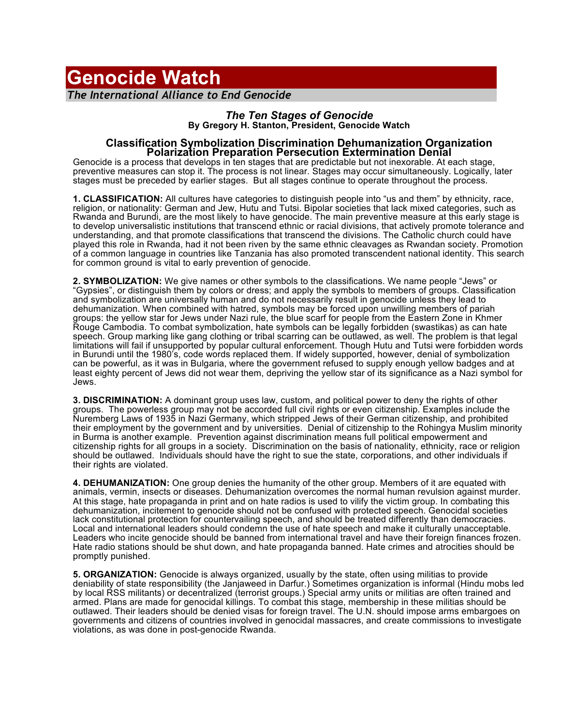## **Genocide Watch** *The International Alliance to End Genocide*

## *The Ten Stages of Genocide* **By Gregory H. Stanton, President, Genocide Watch**

## **Classification Symbolization Discrimination Dehumanization Organization Polarization Preparation Persecution Extermination Denial**

Genocide is a process that develops in ten stages that are predictable but not inexorable. At each stage, preventive measures can stop it. The process is not linear. Stages may occur simultaneously. Logically, later stages must be preceded by earlier stages. But all stages continue to operate throughout the process.

**1. CLASSIFICATION:** All cultures have categories to distinguish people into "us and them" by ethnicity, race, religion, or nationality: German and Jew, Hutu and Tutsi. Bipolar societies that lack mixed categories, such as Rwanda and Burundi, are the most likely to have genocide. The main preventive measure at this early stage is to develop universalistic institutions that transcend ethnic or racial divisions, that actively promote tolerance and understanding, and that promote classifications that transcend the divisions. The Catholic church could have played this role in Rwanda, had it not been riven by the same ethnic cleavages as Rwandan society. Promotion of a common language in countries like Tanzania has also promoted transcendent national identity. This search for common ground is vital to early prevention of genocide.

**2. SYMBOLIZATION:** We give names or other symbols to the classifications. We name people "Jews" or "Gypsies", or distinguish them by colors or dress; and apply the symbols to members of groups. Classification and symbolization are universally human and do not necessarily result in genocide unless they lead to dehumanization. When combined with hatred, symbols may be forced upon unwilling members of pariah groups: the yellow star for Jews under Nazi rule, the blue scarf for people from the Eastern Zone in Khmer Rouge Cambodia. To combat symbolization, hate symbols can be legally forbidden (swastikas) as can hate speech. Group marking like gang clothing or tribal scarring can be outlawed, as well. The problem is that legal limitations will fail if unsupported by popular cultural enforcement. Though Hutu and Tutsi were forbidden words in Burundi until the 1980's, code words replaced them. If widely supported, however, denial of symbolization can be powerful, as it was in Bulgaria, where the government refused to supply enough yellow badges and at least eighty percent of Jews did not wear them, depriving the yellow star of its significance as a Nazi symbol for Jews.

**3. DISCRIMINATION:** A dominant group uses law, custom, and political power to deny the rights of other groups. The powerless group may not be accorded full civil rights or even citizenship. Examples include the Nuremberg Laws of 1935 in Nazi Germany, which stripped Jews of their German citizenship, and prohibited their employment by the government and by universities. Denial of citizenship to the Rohingya Muslim minority in Burma is another example. Prevention against discrimination means full political empowerment and citizenship rights for all groups in a society. Discrimination on the basis of nationality, ethnicity, race or religion should be outlawed. Individuals should have the right to sue the state, corporations, and other individuals if their rights are violated.

**4. DEHUMANIZATION:** One group denies the humanity of the other group. Members of it are equated with animals, vermin, insects or diseases. Dehumanization overcomes the normal human revulsion against murder. At this stage, hate propaganda in print and on hate radios is used to vilify the victim group. In combating this dehumanization, incitement to genocide should not be confused with protected speech. Genocidal societies lack constitutional protection for countervailing speech, and should be treated differently than democracies. Local and international leaders should condemn the use of hate speech and make it culturally unacceptable. Leaders who incite genocide should be banned from international travel and have their foreign finances frozen. Hate radio stations should be shut down, and hate propaganda banned. Hate crimes and atrocities should be promptly punished.

**5. ORGANIZATION:** Genocide is always organized, usually by the state, often using militias to provide deniability of state responsibility (the Janjaweed in Darfur.) Sometimes organization is informal (Hindu mobs led by local RSS militants) or decentralized (terrorist groups.) Special army units or militias are often trained and armed. Plans are made for genocidal killings. To combat this stage, membership in these militias should be outlawed. Their leaders should be denied visas for foreign travel. The U.N. should impose arms embargoes on governments and citizens of countries involved in genocidal massacres, and create commissions to investigate violations, as was done in post-genocide Rwanda.